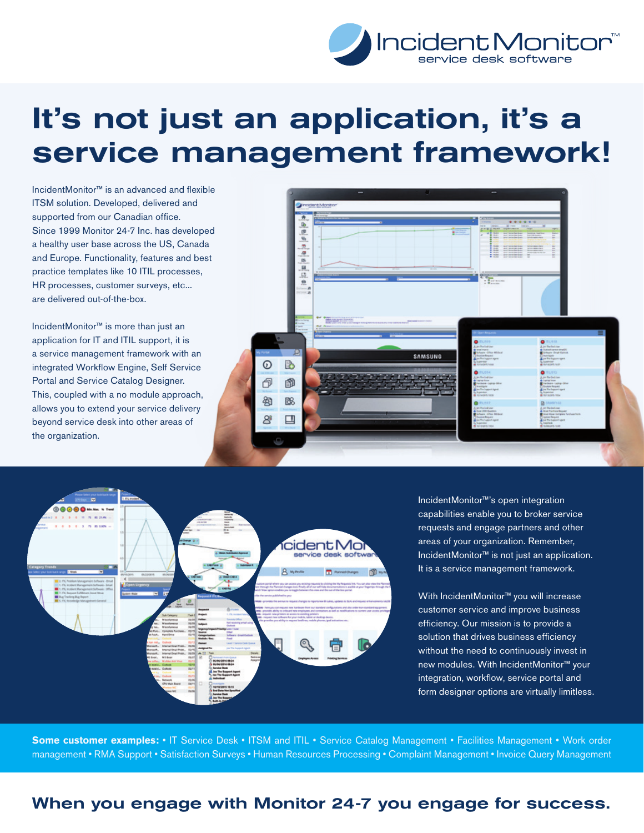

# It's not just an application, it's a service management framework!

IncidentMonitor™ is an advanced and flexible ITSM solution. Developed, delivered and supported from our Canadian office. Since 1999 Monitor 24-7 Inc. has developed a healthy user base across the US, Canada and Europe. Functionality, features and best practice templates like 10 ITIL processes, HR processes, customer surveys, etc... are delivered out-of-the-box.

IncidentMonitor™ is more than just an application for IT and ITIL support, it is a service management framework with an integrated Workflow Engine, Self Service Portal and Service Catalog Designer. This, coupled with a no module approach, allows you to extend your service delivery beyond service desk into other areas of the organization.





IncidentMonitor™'s open integration capabilities enable you to broker service requests and engage partners and other areas of your organization. Remember, IncidentMonitor™ is not just an application. It is a service management framework.

With IncidentMonitor™ you will increase customer service and improve business efficiency. Our mission is to provide a solution that drives business efficiency without the need to continuously invest in new modules. With IncidentMonitor™ your integration, workflow, service portal and form designer options are virtually limitless.

Some customer examples: • IT Service Desk • ITSM and ITIL • Service Catalog Management • Facilities Management • Work order management • RMA Support • Satisfaction Surveys • Human Resources Processing • Complaint Management • Invoice Query Management

# When you engage with Monitor 24-7 you engage for success.